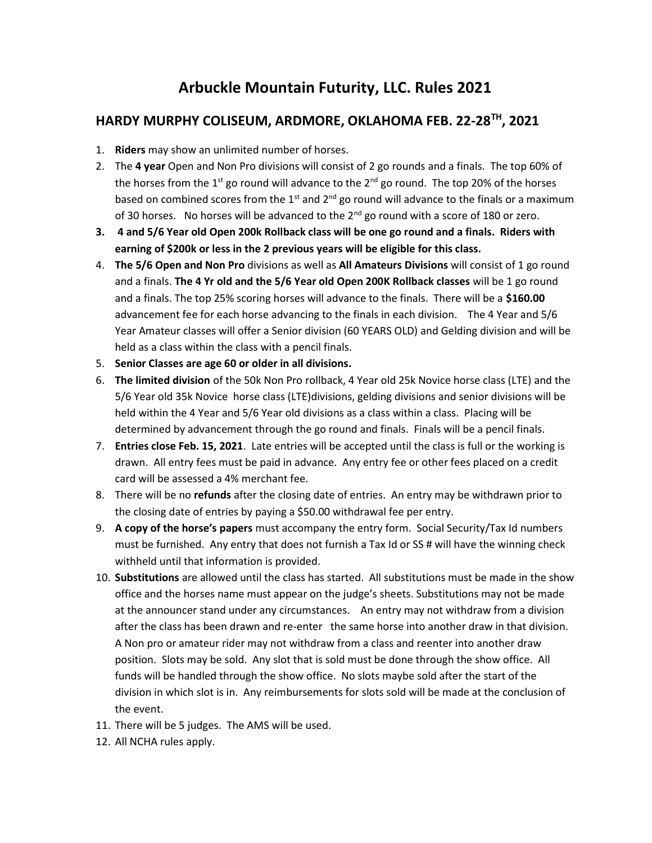## Arbuckle Mountain Futurity, LLC. Rules 2021

## HARDY MURPHY COLISEUM, ARDMORE, OKLAHOMA FEB. 22-28TH, 2021

- 1. Riders may show an unlimited number of horses.
- 2. The 4 year Open and Non Pro divisions will consist of 2 go rounds and a finals. The top 60% of the horses from the 1<sup>st</sup> go round will advance to the 2<sup>nd</sup> go round. The top 20% of the horses based on combined scores from the  $1<sup>st</sup>$  and  $2<sup>nd</sup>$  go round will advance to the finals or a maximum of 30 horses. No horses will be advanced to the  $2^{nd}$  go round with a score of 180 or zero.
- 3. 4 and 5/6 Year old Open 200k Rollback class will be one go round and a finals. Riders with earning of \$200k or less in the 2 previous years will be eligible for this class.
- 4. The 5/6 Open and Non Pro divisions as well as All Amateurs Divisions will consist of 1 go round and a finals. The 4 Yr old and the 5/6 Year old Open 200K Rollback classes will be 1 go round and a finals. The top 25% scoring horses will advance to the finals. There will be a \$160.00 advancement fee for each horse advancing to the finals in each division. The 4 Year and 5/6 Year Amateur classes will offer a Senior division (60 YEARS OLD) and Gelding division and will be held as a class within the class with a pencil finals.
- 5. Senior Classes are age 60 or older in all divisions.
- 6. The limited division of the 50k Non Pro rollback, 4 Year old 25k Novice horse class (LTE) and the 5/6 Year old 35k Novice horse class (LTE)divisions, gelding divisions and senior divisions will be held within the 4 Year and 5/6 Year old divisions as a class within a class. Placing will be determined by advancement through the go round and finals. Finals will be a pencil finals.
- 7. Entries close Feb. 15, 2021. Late entries will be accepted until the class is full or the working is drawn. All entry fees must be paid in advance. Any entry fee or other fees placed on a credit card will be assessed a 4% merchant fee.
- 8. There will be no refunds after the closing date of entries. An entry may be withdrawn prior to the closing date of entries by paying a \$50.00 withdrawal fee per entry.
- 9. A copy of the horse's papers must accompany the entry form. Social Security/Tax Id numbers must be furnished. Any entry that does not furnish a Tax Id or SS # will have the winning check withheld until that information is provided.
- 10. Substitutions are allowed until the class has started. All substitutions must be made in the show office and the horses name must appear on the judge's sheets. Substitutions may not be made at the announcer stand under any circumstances. An entry may not withdraw from a division after the class has been drawn and re-enter the same horse into another draw in that division. A Non pro or amateur rider may not withdraw from a class and reenter into another draw position. Slots may be sold. Any slot that is sold must be done through the show office. All funds will be handled through the show office. No slots maybe sold after the start of the division in which slot is in. Any reimbursements for slots sold will be made at the conclusion of the event.
- 11. There will be 5 judges. The AMS will be used.
- 12. All NCHA rules apply.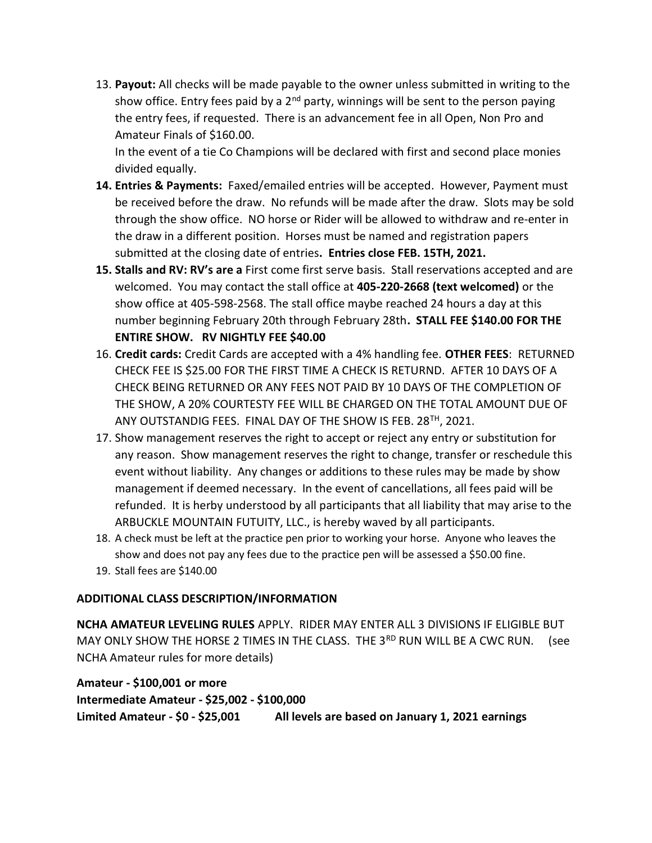13. Payout: All checks will be made payable to the owner unless submitted in writing to the show office. Entry fees paid by a 2<sup>nd</sup> party, winnings will be sent to the person paying the entry fees, if requested. There is an advancement fee in all Open, Non Pro and Amateur Finals of \$160.00.

In the event of a tie Co Champions will be declared with first and second place monies divided equally.

- **14. Entries & Payments:** Faxed/emailed entries will be accepted. However, Payment must be received before the draw. No refunds will be made after the draw. Slots may be sold through the show office. NO horse or Rider will be allowed to withdraw and re-enter in the draw in a different position. Horses must be named and registration papers submitted at the closing date of entries. Entries close FEB. 15TH, 2021.
- 15. Stalls and RV: RV's are a First come first serve basis. Stall reservations accepted and are welcomed. You may contact the stall office at 405-220-2668 (text welcomed) or the show office at 405-598-2568. The stall office maybe reached 24 hours a day at this number beginning February 20th through February 28th. STALL FEE \$140.00 FOR THE ENTIRE SHOW. RV NIGHTLY FEE \$40.00
- 16. Credit cards: Credit Cards are accepted with a 4% handling fee. OTHER FEES: RETURNED CHECK FEE IS \$25.00 FOR THE FIRST TIME A CHECK IS RETURND. AFTER 10 DAYS OF A CHECK BEING RETURNED OR ANY FEES NOT PAID BY 10 DAYS OF THE COMPLETION OF THE SHOW, A 20% COURTESTY FEE WILL BE CHARGED ON THE TOTAL AMOUNT DUE OF ANY OUTSTANDIG FEES. FINAL DAY OF THE SHOW IS FEB. 28TH, 2021.
- 17. Show management reserves the right to accept or reject any entry or substitution for any reason. Show management reserves the right to change, transfer or reschedule this event without liability. Any changes or additions to these rules may be made by show management if deemed necessary. In the event of cancellations, all fees paid will be refunded. It is herby understood by all participants that all liability that may arise to the ARBUCKLE MOUNTAIN FUTUITY, LLC., is hereby waved by all participants.
- 18. A check must be left at the practice pen prior to working your horse. Anyone who leaves the show and does not pay any fees due to the practice pen will be assessed a \$50.00 fine.
- 19. Stall fees are \$140.00

## ADDITIONAL CLASS DESCRIPTION/INFORMATION

NCHA AMATEUR LEVELING RULES APPLY. RIDER MAY ENTER ALL 3 DIVISIONS IF ELIGIBLE BUT MAY ONLY SHOW THE HORSE 2 TIMES IN THE CLASS. THE 3RD RUN WILL BE A CWC RUN. (see NCHA Amateur rules for more details)

Amateur - \$100,001 or more Intermediate Amateur - \$25,002 - \$100,000 Limited Amateur - \$0 - \$25,001 All levels are based on January 1, 2021 earnings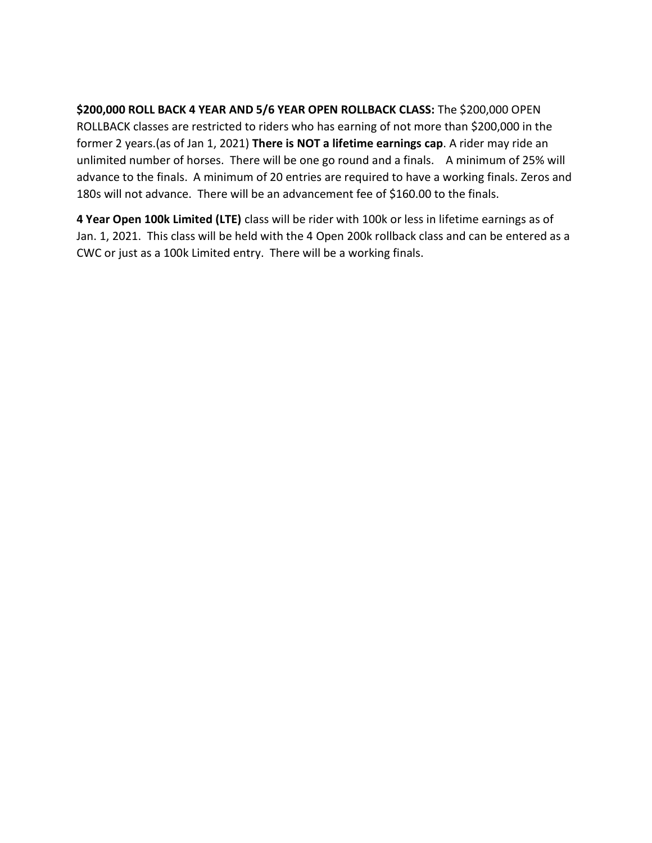\$200,000 ROLL BACK 4 YEAR AND 5/6 YEAR OPEN ROLLBACK CLASS: The \$200,000 OPEN ROLLBACK classes are restricted to riders who has earning of not more than \$200,000 in the former 2 years.(as of Jan 1, 2021) There is NOT a lifetime earnings cap. A rider may ride an unlimited number of horses. There will be one go round and a finals. A minimum of 25% will advance to the finals. A minimum of 20 entries are required to have a working finals. Zeros and 180s will not advance. There will be an advancement fee of \$160.00 to the finals.

4 Year Open 100k Limited (LTE) class will be rider with 100k or less in lifetime earnings as of Jan. 1, 2021. This class will be held with the 4 Open 200k rollback class and can be entered as a CWC or just as a 100k Limited entry. There will be a working finals.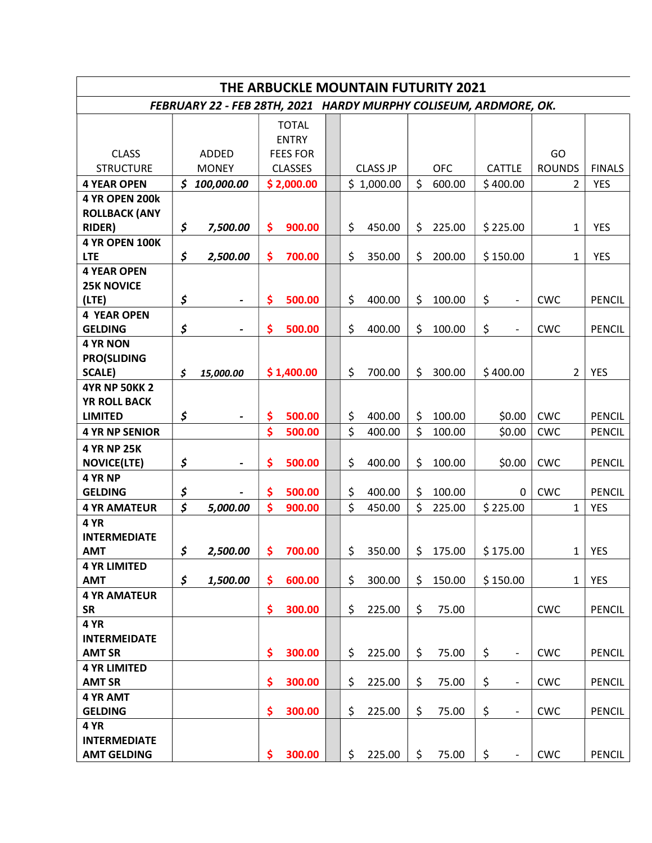| THE ARBUCKLE MOUNTAIN FUTURITY 2021                              |              |                          |                 |              |  |                 |            |            |          |               |                          |               |                |               |
|------------------------------------------------------------------|--------------|--------------------------|-----------------|--------------|--|-----------------|------------|------------|----------|---------------|--------------------------|---------------|----------------|---------------|
| FEBRUARY 22 - FEB 28TH, 2021 HARDY MURPHY COLISEUM, ARDMORE, OK. |              |                          |                 |              |  |                 |            |            |          |               |                          |               |                |               |
|                                                                  |              |                          |                 | <b>TOTAL</b> |  |                 |            |            |          |               |                          |               |                |               |
|                                                                  |              |                          | <b>ENTRY</b>    |              |  |                 |            |            |          |               |                          |               |                |               |
| <b>CLASS</b>                                                     | <b>ADDED</b> |                          | <b>FEES FOR</b> |              |  |                 |            |            |          |               |                          | GO            |                |               |
| <b>STRUCTURE</b>                                                 | <b>MONEY</b> |                          | <b>CLASSES</b>  |              |  | <b>CLASS JP</b> |            | <b>OFC</b> |          | <b>CATTLE</b> |                          | <b>ROUNDS</b> |                | <b>FINALS</b> |
| <b>4 YEAR OPEN</b>                                               |              | \$100,000.00             |                 | \$2,000.00   |  |                 | \$1,000.00 | \$         | 600.00   |               | \$400.00                 |               | $\overline{2}$ | <b>YES</b>    |
| <b>4 YR OPEN 200k</b>                                            |              |                          |                 |              |  |                 |            |            |          |               |                          |               |                |               |
| <b>ROLLBACK (ANY</b>                                             |              |                          |                 |              |  |                 |            |            |          |               |                          |               |                |               |
| <b>RIDER)</b>                                                    | \$           | 7,500.00                 | \$              | 900.00       |  | \$              | 450.00     | \$         | 225.00   |               | \$225.00                 |               | $\mathbf{1}$   | <b>YES</b>    |
| <b>4 YR OPEN 100K</b>                                            |              |                          |                 |              |  |                 |            |            |          |               |                          |               |                |               |
| <b>LTE</b>                                                       | \$           | 2,500.00                 | \$              | 700.00       |  | \$              | 350.00     | \$         | 200.00   |               | \$150.00                 |               | 1              | <b>YES</b>    |
| <b>4 YEAR OPEN</b>                                               |              |                          |                 |              |  |                 |            |            |          |               |                          |               |                |               |
| <b>25K NOVICE</b><br>(LTE)                                       | \$           |                          | \$              | 500.00       |  | \$              | 400.00     | \$         | 100.00   | \$            |                          | <b>CWC</b>    |                | PENCIL        |
| <b>4 YEAR OPEN</b>                                               |              |                          |                 |              |  |                 |            |            |          |               |                          |               |                |               |
| <b>GELDING</b>                                                   | \$           |                          | \$              | 500.00       |  | \$              | 400.00     | \$         | 100.00   | \$            | $\qquad \qquad -$        | <b>CWC</b>    |                | <b>PENCIL</b> |
| <b>4 YR NON</b>                                                  |              |                          |                 |              |  |                 |            |            |          |               |                          |               |                |               |
| <b>PRO(SLIDING</b>                                               |              |                          |                 |              |  |                 |            |            |          |               |                          |               |                |               |
| <b>SCALE)</b>                                                    | \$           | 15,000.00                |                 | \$1,400.00   |  | \$              | 700.00     | \$         | 300.00   |               | \$400.00                 |               | $\overline{2}$ | <b>YES</b>    |
| <b>4YR NP 50KK 2</b>                                             |              |                          |                 |              |  |                 |            |            |          |               |                          |               |                |               |
| <b>YR ROLL BACK</b>                                              |              |                          |                 |              |  |                 |            |            |          |               |                          |               |                |               |
| <b>LIMITED</b>                                                   | \$           |                          | \$              | 500.00       |  | \$              | 400.00     | \$         | 100.00   |               | \$0.00                   | <b>CWC</b>    |                | <b>PENCIL</b> |
| <b>4 YR NP SENIOR</b>                                            |              |                          | \$              | 500.00       |  | \$              | 400.00     | \$         | 100.00   |               | \$0.00                   | <b>CWC</b>    |                | PENCIL        |
| <b>4 YR NP 25K</b>                                               |              |                          |                 |              |  |                 |            |            |          |               |                          |               |                |               |
| <b>NOVICE(LTE)</b>                                               | \$           | $\overline{\phantom{a}}$ | \$              | 500.00       |  | \$              | 400.00     | \$         | 100.00   |               | \$0.00                   | <b>CWC</b>    |                | <b>PENCIL</b> |
| 4 YR NP                                                          |              |                          |                 |              |  |                 |            |            |          |               |                          |               |                |               |
| <b>GELDING</b>                                                   | \$           |                          | \$              | 500.00       |  | \$              | 400.00     | \$         | 100.00   |               | 0                        | <b>CWC</b>    |                | <b>PENCIL</b> |
| <b>4 YR AMATEUR</b>                                              | \$           | 5,000.00                 | \$              | 900.00       |  | \$              | 450.00     | \$         | 225.00   |               | \$225.00                 |               | $\mathbf{1}$   | <b>YES</b>    |
| 4 YR                                                             |              |                          |                 |              |  |                 |            |            |          |               |                          |               |                |               |
| <b>INTERMEDIATE</b>                                              |              |                          |                 |              |  |                 |            |            |          |               |                          |               |                |               |
| <b>AMT</b>                                                       | \$           | 2,500.00                 |                 | \$700.00     |  | \$              | 350.00     |            | \$175.00 |               | \$175.00                 |               |                | $1$ YES       |
| <b>4 YR LIMITED</b>                                              |              |                          |                 |              |  |                 |            |            |          |               |                          |               |                |               |
| <b>AMT</b>                                                       | \$           | 1,500.00                 | \$.             | 600.00       |  | \$              | 300.00     | \$         | 150.00   |               | \$150.00                 |               | $\mathbf{1}$   | YES           |
| <b>4 YR AMATEUR</b>                                              |              |                          |                 |              |  |                 |            |            |          |               |                          |               |                |               |
| <b>SR</b><br>4 YR                                                |              |                          | \$              | 300.00       |  | \$              | 225.00     | \$         | 75.00    |               |                          | <b>CWC</b>    |                | <b>PENCIL</b> |
| <b>INTERMEIDATE</b>                                              |              |                          |                 |              |  |                 |            |            |          |               |                          |               |                |               |
| <b>AMT SR</b>                                                    |              |                          | \$              | 300.00       |  | \$              | 225.00     | \$         | 75.00    | \$            | $\qquad \qquad -$        | <b>CWC</b>    |                | <b>PENCIL</b> |
| <b>4 YR LIMITED</b>                                              |              |                          |                 |              |  |                 |            |            |          |               |                          |               |                |               |
| <b>AMT SR</b>                                                    |              |                          | \$              | 300.00       |  | \$              | 225.00     | \$         | 75.00    | \$            | $\overline{\phantom{a}}$ | <b>CWC</b>    |                | PENCIL        |
| 4 YR AMT                                                         |              |                          |                 |              |  |                 |            |            |          |               |                          |               |                |               |
| <b>GELDING</b>                                                   |              |                          | \$              | 300.00       |  | \$              | 225.00     | \$         | 75.00    | \$            | $\overline{\phantom{a}}$ | <b>CWC</b>    |                | <b>PENCIL</b> |
| 4 YR                                                             |              |                          |                 |              |  |                 |            |            |          |               |                          |               |                |               |
| <b>INTERMEDIATE</b>                                              |              |                          |                 |              |  |                 |            |            |          |               |                          |               |                |               |
| <b>AMT GELDING</b>                                               |              |                          | \$.             | 300.00       |  | \$              | 225.00     | \$         | 75.00    | \$            |                          | <b>CWC</b>    |                | PENCIL        |